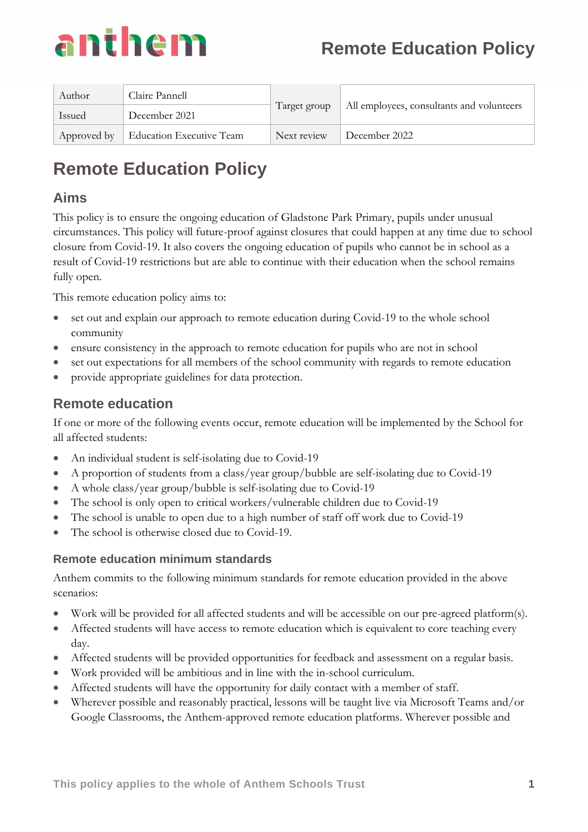

| Author      | Claire Pannell                  | Target group | All employees, consultants and volunteers |
|-------------|---------------------------------|--------------|-------------------------------------------|
| Issued      | December 2021                   |              |                                           |
| Approved by | <b>Education Executive Team</b> | Next review  | December 2022                             |

# **Remote Education Policy**

### **Aims**

This policy is to ensure the ongoing education of Gladstone Park Primary, pupils under unusual circumstances. This policy will future-proof against closures that could happen at any time due to school closure from Covid-19. It also covers the ongoing education of pupils who cannot be in school as a result of Covid-19 restrictions but are able to continue with their education when the school remains fully open.

This remote education policy aims to:

- set out and explain our approach to remote education during Covid-19 to the whole school community
- ensure consistency in the approach to remote education for pupils who are not in school
- set out expectations for all members of the school community with regards to remote education
- provide appropriate guidelines for data protection.

### **Remote education**

If one or more of the following events occur, remote education will be implemented by the School for all affected students:

- An individual student is self-isolating due to Covid-19
- A proportion of students from a class/year group/bubble are self-isolating due to Covid-19
- A whole class/year group/bubble is self-isolating due to Covid-19
- The school is only open to critical workers/vulnerable children due to Covid-19
- The school is unable to open due to a high number of staff off work due to Covid-19
- The school is otherwise closed due to Covid-19.

#### **Remote education minimum standards**

Anthem commits to the following minimum standards for remote education provided in the above scenarios:

- Work will be provided for all affected students and will be accessible on our pre-agreed platform(s).
- Affected students will have access to remote education which is equivalent to core teaching every day.
- Affected students will be provided opportunities for feedback and assessment on a regular basis.
- Work provided will be ambitious and in line with the in-school curriculum.
- Affected students will have the opportunity for daily contact with a member of staff.
- Wherever possible and reasonably practical, lessons will be taught live via Microsoft Teams and/or Google Classrooms, the Anthem-approved remote education platforms. Wherever possible and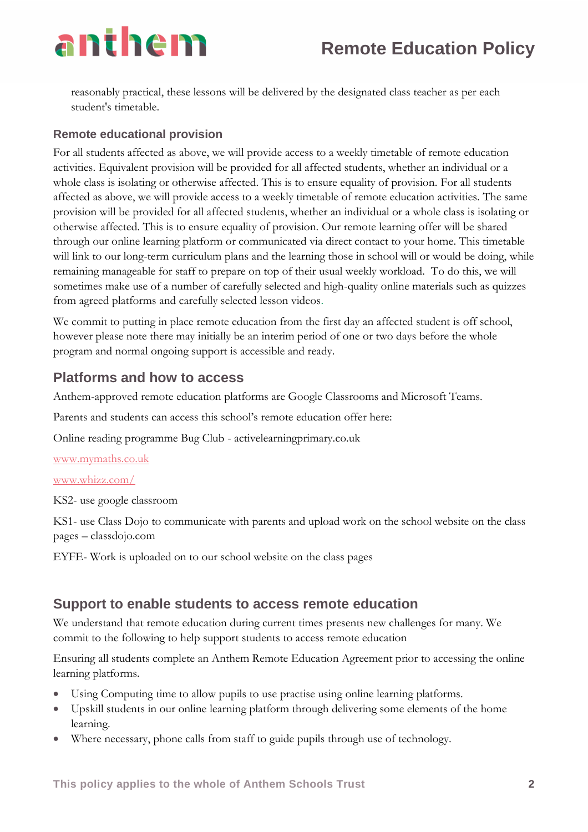reasonably practical, these lessons will be delivered by the designated class teacher as per each student's timetable.

#### **Remote educational provision**

For all students affected as above, we will provide access to a weekly timetable of remote education activities. Equivalent provision will be provided for all affected students, whether an individual or a whole class is isolating or otherwise affected. This is to ensure equality of provision. For all students affected as above, we will provide access to a weekly timetable of remote education activities. The same provision will be provided for all affected students, whether an individual or a whole class is isolating or otherwise affected. This is to ensure equality of provision. Our remote learning offer will be shared through our online learning platform or communicated via direct contact to your home. This timetable will link to our long-term curriculum plans and the learning those in school will or would be doing, while remaining manageable for staff to prepare on top of their usual weekly workload. To do this, we will sometimes make use of a number of carefully selected and high-quality online materials such as quizzes from agreed platforms and carefully selected lesson videos.

We commit to putting in place remote education from the first day an affected student is off school, however please note there may initially be an interim period of one or two days before the whole program and normal ongoing support is accessible and ready.

### **Platforms and how to access**

Anthem-approved remote education platforms are Google Classrooms and Microsoft Teams.

Parents and students can access this school's remote education offer here:

Online reading programme Bug Club - activelearningprimary.co.uk

[www.mymaths.co.uk](http://www.mymaths.co.uk/)

[www.whizz.com/](http://www.whizz.com/)

KS2- use google classroom

KS1- use Class Dojo to communicate with parents and upload work on the school website on the class pages – classdojo.com

EYFE- Work is uploaded on to our school website on the class pages

### **Support to enable students to access remote education**

We understand that remote education during current times presents new challenges for many. We commit to the following to help support students to access remote education

Ensuring all students complete an Anthem Remote Education Agreement prior to accessing the online learning platforms.

- Using Computing time to allow pupils to use practise using online learning platforms.
- Upskill students in our online learning platform through delivering some elements of the home learning.
- Where necessary, phone calls from staff to guide pupils through use of technology.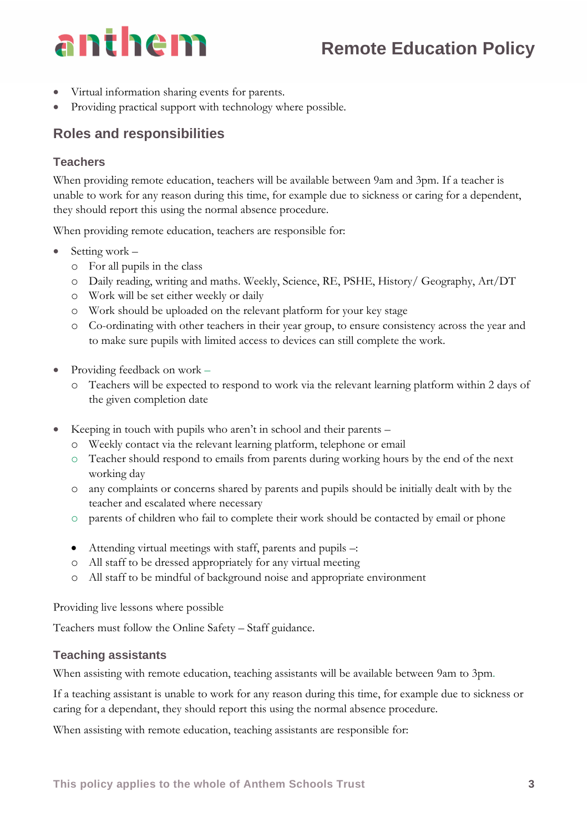## **Remote Education Policy**

- Virtual information sharing events for parents.
- Providing practical support with technology where possible.

### **Roles and responsibilities**

#### **Teachers**

When providing remote education, teachers will be available between 9am and 3pm. If a teacher is unable to work for any reason during this time, for example due to sickness or caring for a dependent, they should report this using the normal absence procedure.

When providing remote education, teachers are responsible for:

- Setting work
	- o For all pupils in the class
	- o Daily reading, writing and maths. Weekly, Science, RE, PSHE, History/ Geography, Art/DT
	- o Work will be set either weekly or daily
	- o Work should be uploaded on the relevant platform for your key stage
	- o Co-ordinating with other teachers in their year group, to ensure consistency across the year and to make sure pupils with limited access to devices can still complete the work.
- Providing feedback on work
	- o Teachers will be expected to respond to work via the relevant learning platform within 2 days of the given completion date
- Keeping in touch with pupils who aren't in school and their parents
	- o Weekly contact via the relevant learning platform, telephone or email
	- o Teacher should respond to emails from parents during working hours by the end of the next working day
	- o any complaints or concerns shared by parents and pupils should be initially dealt with by the teacher and escalated where necessary
	- o parents of children who fail to complete their work should be contacted by email or phone
	- Attending virtual meetings with staff, parents and pupils –:
	- o All staff to be dressed appropriately for any virtual meeting
	- o All staff to be mindful of background noise and appropriate environment

Providing live lessons where possible

Teachers must follow the Online Safety – Staff guidance.

#### **Teaching assistants**

When assisting with remote education, teaching assistants will be available between 9am to 3pm.

If a teaching assistant is unable to work for any reason during this time, for example due to sickness or caring for a dependant, they should report this using the normal absence procedure.

When assisting with remote education, teaching assistants are responsible for: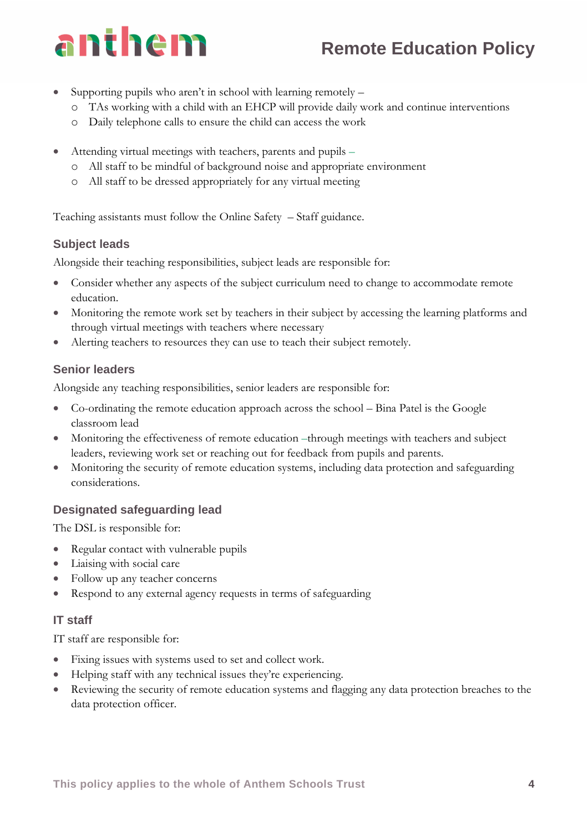- **Remote Education Policy**
- Supporting pupils who aren't in school with learning remotely
	- o TAs working with a child with an EHCP will provide daily work and continue interventions
	- o Daily telephone calls to ensure the child can access the work
- Attending virtual meetings with teachers, parents and pupils
	- o All staff to be mindful of background noise and appropriate environment
	- o All staff to be dressed appropriately for any virtual meeting

Teaching assistants must follow the Online Safety – Staff guidance.

#### **Subject leads**

Alongside their teaching responsibilities, subject leads are responsible for:

- Consider whether any aspects of the subject curriculum need to change to accommodate remote education.
- Monitoring the remote work set by teachers in their subject by accessing the learning platforms and through virtual meetings with teachers where necessary
- Alerting teachers to resources they can use to teach their subject remotely.

#### **Senior leaders**

Alongside any teaching responsibilities, senior leaders are responsible for:

- Co-ordinating the remote education approach across the school Bina Patel is the Google classroom lead
- Monitoring the effectiveness of remote education –through meetings with teachers and subject leaders, reviewing work set or reaching out for feedback from pupils and parents.
- Monitoring the security of remote education systems, including data protection and safeguarding considerations.

#### **Designated safeguarding lead**

The DSL is responsible for:

- Regular contact with vulnerable pupils
- Liaising with social care
- Follow up any teacher concerns
- Respond to any external agency requests in terms of safeguarding

#### **IT staff**

IT staff are responsible for:

- Fixing issues with systems used to set and collect work.
- Helping staff with any technical issues they're experiencing.
- Reviewing the security of remote education systems and flagging any data protection breaches to the data protection officer.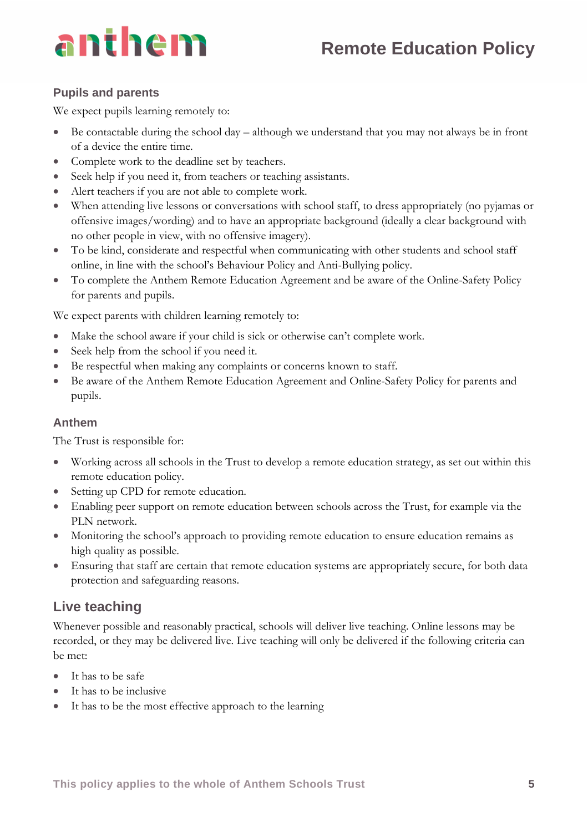# **Remote Education Policy**

# anthem

#### **Pupils and parents**

We expect pupils learning remotely to:

- Be contactable during the school day although we understand that you may not always be in front of a device the entire time.
- Complete work to the deadline set by teachers.
- Seek help if you need it, from teachers or teaching assistants.
- Alert teachers if you are not able to complete work.
- When attending live lessons or conversations with school staff, to dress appropriately (no pyjamas or offensive images/wording) and to have an appropriate background (ideally a clear background with no other people in view, with no offensive imagery).
- To be kind, considerate and respectful when communicating with other students and school staff online, in line with the school's Behaviour Policy and Anti-Bullying policy.
- To complete the Anthem Remote Education Agreement and be aware of the Online-Safety Policy for parents and pupils.

We expect parents with children learning remotely to:

- Make the school aware if your child is sick or otherwise can't complete work.
- Seek help from the school if you need it.
- Be respectful when making any complaints or concerns known to staff.
- Be aware of the Anthem Remote Education Agreement and Online-Safety Policy for parents and pupils.

#### **Anthem**

The Trust is responsible for:

- Working across all schools in the Trust to develop a remote education strategy, as set out within this remote education policy.
- Setting up CPD for remote education.
- Enabling peer support on remote education between schools across the Trust, for example via the PLN network.
- Monitoring the school's approach to providing remote education to ensure education remains as high quality as possible.
- Ensuring that staff are certain that remote education systems are appropriately secure, for both data protection and safeguarding reasons.

## **Live teaching**

Whenever possible and reasonably practical, schools will deliver live teaching. Online lessons may be recorded, or they may be delivered live. Live teaching will only be delivered if the following criteria can be met:

- It has to be safe
- It has to be inclusive
- It has to be the most effective approach to the learning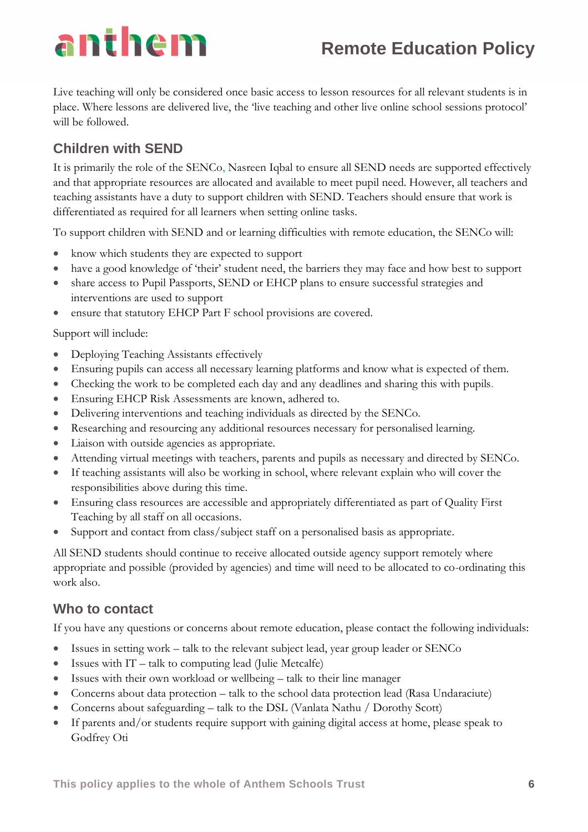# **Remote Education Policy**

Live teaching will only be considered once basic access to lesson resources for all relevant students is in place. Where lessons are delivered live, the 'live teaching and other live online school sessions protocol' will be followed.

## **Children with SEND**

It is primarily the role of the SENCo, Nasreen Iqbal to ensure all SEND needs are supported effectively and that appropriate resources are allocated and available to meet pupil need. However, all teachers and teaching assistants have a duty to support children with SEND. Teachers should ensure that work is differentiated as required for all learners when setting online tasks.

To support children with SEND and or learning difficulties with remote education, the SENCo will:

- know which students they are expected to support
- have a good knowledge of 'their' student need, the barriers they may face and how best to support
- share access to Pupil Passports, SEND or EHCP plans to ensure successful strategies and interventions are used to support
- ensure that statutory EHCP Part F school provisions are covered.

Support will include:

- Deploying Teaching Assistants effectively
- Ensuring pupils can access all necessary learning platforms and know what is expected of them.
- Checking the work to be completed each day and any deadlines and sharing this with pupils.
- Ensuring EHCP Risk Assessments are known, adhered to.
- Delivering interventions and teaching individuals as directed by the SENCo.
- Researching and resourcing any additional resources necessary for personalised learning.
- Liaison with outside agencies as appropriate.
- Attending virtual meetings with teachers, parents and pupils as necessary and directed by SENCo.
- If teaching assistants will also be working in school, where relevant explain who will cover the responsibilities above during this time.
- Ensuring class resources are accessible and appropriately differentiated as part of Quality First Teaching by all staff on all occasions.
- Support and contact from class/subject staff on a personalised basis as appropriate.

All SEND students should continue to receive allocated outside agency support remotely where appropriate and possible (provided by agencies) and time will need to be allocated to co-ordinating this work also.

### **Who to contact**

If you have any questions or concerns about remote education, please contact the following individuals:

- Issues in setting work talk to the relevant subject lead, year group leader or SENCo
- Issues with IT talk to computing lead (Julie Metcalfe)
- Issues with their own workload or wellbeing talk to their line manager
- Concerns about data protection talk to the school data protection lead (Rasa Undaraciute)
- Concerns about safeguarding talk to the DSL (Vanlata Nathu / Dorothy Scott)
- If parents and/or students require support with gaining digital access at home, please speak to Godfrey Oti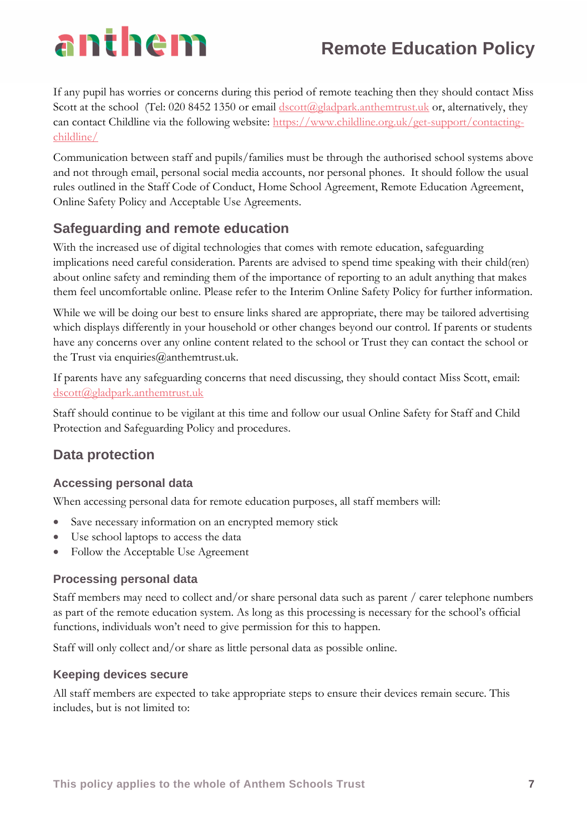# **Remote Education Policy**

If any pupil has worries or concerns during this period of remote teaching then they should contact Miss Scott at the school (Tel: 020 8452 1350 or email [dscott@gladpark.anthemtrust.uk](mailto:dscott@gladpark.anthemtrust.uk) or, alternatively, they can contact Childline via the following website: [https://www.childline.org.uk/get-support/contacting](https://www.childline.org.uk/get-support/contacting-childline/)[childline/](https://www.childline.org.uk/get-support/contacting-childline/)

Communication between staff and pupils/families must be through the authorised school systems above and not through email, personal social media accounts, nor personal phones. It should follow the usual rules outlined in the Staff Code of Conduct, Home School Agreement, Remote Education Agreement, Online Safety Policy and Acceptable Use Agreements.

## **Safeguarding and remote education**

With the increased use of digital technologies that comes with remote education, safeguarding implications need careful consideration. Parents are advised to spend time speaking with their child(ren) about online safety and reminding them of the importance of reporting to an adult anything that makes them feel uncomfortable online. Please refer to the Interim Online Safety Policy for further information.

While we will be doing our best to ensure links shared are appropriate, there may be tailored advertising which displays differently in your household or other changes beyond our control. If parents or students have any concerns over any online content related to the school or Trust they can contact the school or the Trust via enquiries $@$ anthemtrust.uk.

If parents have any safeguarding concerns that need discussing, they should contact Miss Scott, email: [dscott@gladpark.anthemtrust.uk](mailto:dscott@gladpark.anthemtrust.uk)

Staff should continue to be vigilant at this time and follow our usual Online Safety for Staff and Child Protection and Safeguarding Policy and procedures.

## **Data protection**

#### **Accessing personal data**

When accessing personal data for remote education purposes, all staff members will:

- Save necessary information on an encrypted memory stick
- Use school laptops to access the data
- Follow the Acceptable Use Agreement

#### **Processing personal data**

Staff members may need to collect and/or share personal data such as parent / carer telephone numbers as part of the remote education system. As long as this processing is necessary for the school's official functions, individuals won't need to give permission for this to happen.

Staff will only collect and/or share as little personal data as possible online.

#### **Keeping devices secure**

All staff members are expected to take appropriate steps to ensure their devices remain secure. This includes, but is not limited to: